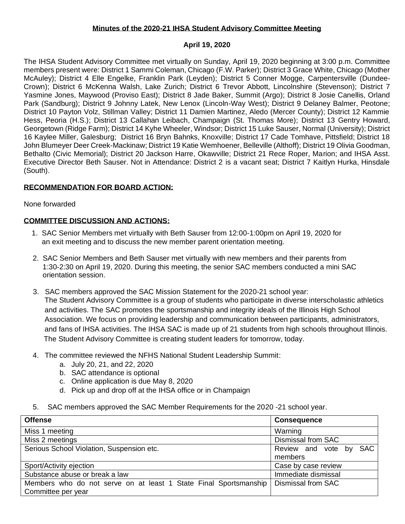### **Minutes of the 2020-21 IHSA Student Advisory Committee Meeting**

## **April 19, 2020**

The IHSA Student Advisory Committee met virtually on Sunday, April 19, 2020 beginning at 3:00 p.m. Committee members present were: District 1 Sammi Coleman, Chicago (F.W. Parker); District 3 Grace White, Chicago (Mother McAuley); District 4 Elle Engelke, Franklin Park (Leyden); District 5 Conner Mogge, Carpentersville (Dundee-Crown); District 6 McKenna Walsh, Lake Zurich; District 6 Trevor Abbott, Lincolnshire (Stevenson); District 7 Yasmine Jones, Maywood (Proviso East); District 8 Jade Baker, Summit (Argo); District 8 Josie Canellis, Orland Park (Sandburg); District 9 Johnny Latek, New Lenox (Lincoln-Way West); District 9 Delaney Balmer, Peotone; District 10 Payton Volz, Stillman Valley; District 11 Damien Martinez, Aledo (Mercer County); District 12 Kammie Hess, Peoria (H.S.); District 13 Callahan Leibach, Champaign (St. Thomas More); District 13 Gentry Howard, Georgetown (Ridge Farm); District 14 Kyhe Wheeler, Windsor; District 15 Luke Sauser, Normal (University); District 16 Kaylee Miller, Galesburg; District 16 Bryn Bahnks, Knoxville; District 17 Cade Tomhave, Pittsfield; District 18 John Blumeyer Deer Creek-Mackinaw; District 19 Katie Wemhoener, Belleville (Althoff); District 19 Olivia Goodman, Bethalto (Civic Memorial); District 20 Jackson Harre, Okawville; District 21 Rece Roper, Marion; and IHSA Asst. Executive Director Beth Sauser. Not in Attendance: District 2 is a vacant seat; District 7 Kaitlyn Hurka, Hinsdale (South).

# **RECOMMENDATION FOR BOARD ACTION:**

None forwarded

## **COMMITTEE DISCUSSION AND ACTIONS:**

- 1. SAC Senior Members met virtually with Beth Sauser from 12:00-1:00pm on April 19, 2020 for an exit meeting and to discuss the new member parent orientation meeting.
- 2. SAC Senior Members and Beth Sauser met virtually with new members and their parents from 1:30-2:30 on April 19, 2020. During this meeting, the senior SAC members conducted a mini SAC orientation session.
- 3. SAC members approved the SAC Mission Statement for the 2020-21 school year: The Student Advisory Committee is a group of students who participate in diverse interscholastic athletics and activities. The SAC promotes the sportsmanship and integrity ideals of the Illinois High School Association. We focus on providing leadership and communication between participants, administrators, and fans of IHSA activities. The IHSA SAC is made up of 21 students from high schools throughout Illinois. The Student Advisory Committee is creating student leaders for tomorrow, today.
- 4. The committee reviewed the NFHS National Student Leadership Summit:
	- a. July 20, 21, and 22, 2020
	- b. SAC attendance is optional
	- c. Online application is due May 8, 2020
	- d. Pick up and drop off at the IHSA office or in Champaign
- 5. SAC members approved the SAC Member Requirements for the 2020 -21 school year.

| <b>Offense</b>                                                   | <b>Consequence</b>               |
|------------------------------------------------------------------|----------------------------------|
| Miss 1 meeting                                                   | Warning                          |
| Miss 2 meetings                                                  | <b>Dismissal from SAC</b>        |
| Serious School Violation, Suspension etc.                        | <b>SAC</b><br>Review and vote by |
|                                                                  | members                          |
| Sport/Activity ejection                                          | Case by case review              |
| Substance abuse or break a law                                   | Immediate dismissal              |
| Members who do not serve on at least 1 State Final Sportsmanship | Dismissal from SAC               |
| Committee per year                                               |                                  |